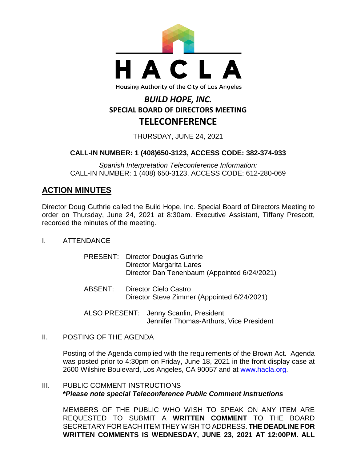

#### Housing Authority of the City of Los Angeles

# *BUILD HOPE, INC.* **SPECIAL BOARD OF DIRECTORS MEETING TELECONFERENCE**

THURSDAY, JUNE 24, 2021

## **CALL-IN NUMBER: 1 (408)650-3123, ACCESS CODE: 382-374-933**

*Spanish Interpretation Teleconference Information:* CALL-IN NUMBER: 1 (408) 650-3123, ACCESS CODE: 612-280-069

## **ACTION MINUTES**

Director Doug Guthrie called the Build Hope, Inc. Special Board of Directors Meeting to order on Thursday, June 24, 2021 at 8:30am. Executive Assistant, Tiffany Prescott, recorded the minutes of the meeting.

I. ATTENDANCE

|         | <b>PRESENT:</b> Director Douglas Guthrie<br>Director Margarita Lares<br>Director Dan Tenenbaum (Appointed 6/24/2021) |
|---------|----------------------------------------------------------------------------------------------------------------------|
| ABSENT: | Director Cielo Castro<br>Director Steve Zimmer (Appointed 6/24/2021)                                                 |

ALSO PRESENT: Jenny Scanlin, President

Jennifer Thomas-Arthurs, Vice President

II. POSTING OF THE AGENDA

Posting of the Agenda complied with the requirements of the Brown Act. Agenda was posted prior to 4:30pm on Friday, June 18, 2021 in the front display case at 2600 Wilshire Boulevard, Los Angeles, CA 90057 and at [www.hacla.org.](http://www.hacla.org/)

### III. PUBLIC COMMENT INSTRUCTIONS **\****Please note special Teleconference Public Comment Instructions*

MEMBERS OF THE PUBLIC WHO WISH TO SPEAK ON ANY ITEM ARE REQUESTED TO SUBMIT A **WRITTEN COMMENT** TO THE BOARD SECRETARY FOR EACH ITEM THEY WISH TO ADDRESS. **THE DEADLINE FOR WRITTEN COMMENTS IS WEDNESDAY, JUNE 23, 2021 AT 12:00PM. ALL**